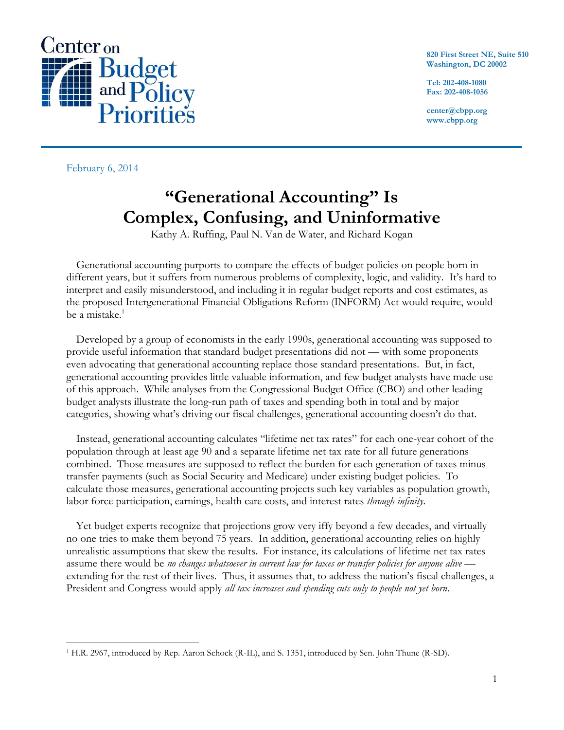

**820 First Street NE, Suite 510 Washington, DC 20002**

**Tel: 202-408-1080 Fax: 202-408-1056**

**center@cbpp.org www.cbpp.org**

February 6, 2014

# **"Generational Accounting" Is Complex, Confusing, and Uninformative**

Kathy A. Ruffing, Paul N. Van de Water, and Richard Kogan

Generational accounting purports to compare the effects of budget policies on people born in different years, but it suffers from numerous problems of complexity, logic, and validity. It's hard to interpret and easily misunderstood, and including it in regular budget reports and cost estimates, as the proposed Intergenerational Financial Obligations Reform (INFORM) Act would require, would be a mistake.<sup>1</sup>

Developed by a group of economists in the early 1990s, generational accounting was supposed to provide useful information that standard budget presentations did not — with some proponents even advocating that generational accounting replace those standard presentations. But, in fact, generational accounting provides little valuable information, and few budget analysts have made use of this approach. While analyses from the Congressional Budget Office (CBO) and other leading budget analysts illustrate the long-run path of taxes and spending both in total and by major categories, showing what's driving our fiscal challenges, generational accounting doesn't do that.

Instead, generational accounting calculates "lifetime net tax rates" for each one-year cohort of the population through at least age 90 and a separate lifetime net tax rate for all future generations combined. Those measures are supposed to reflect the burden for each generation of taxes minus transfer payments (such as Social Security and Medicare) under existing budget policies. To calculate those measures, generational accounting projects such key variables as population growth, labor force participation, earnings, health care costs, and interest rates *through infinity*.

Yet budget experts recognize that projections grow very iffy beyond a few decades, and virtually no one tries to make them beyond 75 years. In addition, generational accounting relies on highly unrealistic assumptions that skew the results. For instance, its calculations of lifetime net tax rates assume there would be *no changes whatsoever in current law for taxes or transfer policies for anyone alive* extending for the rest of their lives. Thus, it assumes that, to address the nation's fiscal challenges, a President and Congress would apply *all tax increases and spending cuts only to people not yet born*.

 $\overline{a}$ <sup>1</sup> H.R. 2967, introduced by Rep. Aaron Schock (R-IL), and S. 1351, introduced by Sen. John Thune (R-SD).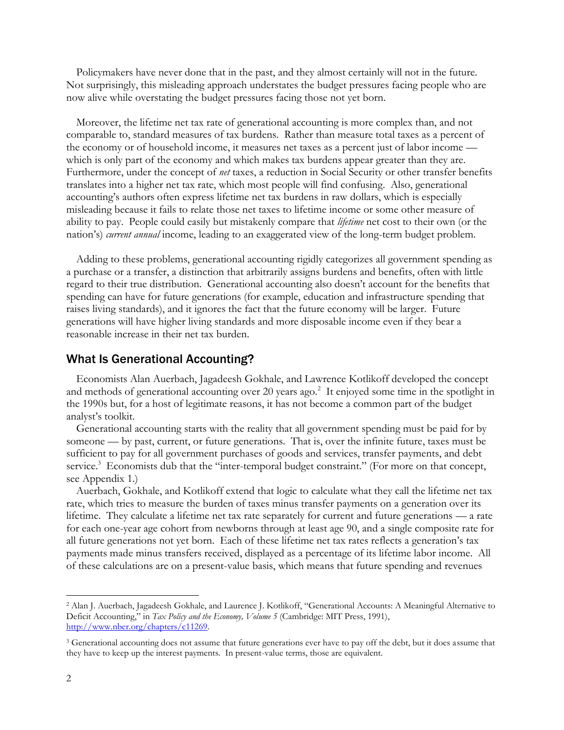Policymakers have never done that in the past, and they almost certainly will not in the future. Not surprisingly, this misleading approach understates the budget pressures facing people who are now alive while overstating the budget pressures facing those not yet born.

Moreover, the lifetime net tax rate of generational accounting is more complex than, and not comparable to, standard measures of tax burdens. Rather than measure total taxes as a percent of the economy or of household income, it measures net taxes as a percent just of labor income which is only part of the economy and which makes tax burdens appear greater than they are. Furthermore, under the concept of *net* taxes, a reduction in Social Security or other transfer benefits translates into a higher net tax rate, which most people will find confusing. Also, generational accounting's authors often express lifetime net tax burdens in raw dollars, which is especially misleading because it fails to relate those net taxes to lifetime income or some other measure of ability to pay. People could easily but mistakenly compare that *lifetime* net cost to their own (or the nation's) *current annual* income, leading to an exaggerated view of the long-term budget problem.

Adding to these problems, generational accounting rigidly categorizes all government spending as a purchase or a transfer, a distinction that arbitrarily assigns burdens and benefits, often with little regard to their true distribution. Generational accounting also doesn't account for the benefits that spending can have for future generations (for example, education and infrastructure spending that raises living standards), and it ignores the fact that the future economy will be larger. Future generations will have higher living standards and more disposable income even if they bear a reasonable increase in their net tax burden.

#### What Is Generational Accounting?

Economists Alan Auerbach, Jagadeesh Gokhale, and Lawrence Kotlikoff developed the concept and methods of generational accounting over 20 years ago.<sup>2</sup> It enjoyed some time in the spotlight in the 1990s but, for a host of legitimate reasons, it has not become a common part of the budget analyst's toolkit.

Generational accounting starts with the reality that all government spending must be paid for by someone — by past, current, or future generations. That is, over the infinite future, taxes must be sufficient to pay for all government purchases of goods and services, transfer payments, and debt service.<sup>3</sup> Economists dub that the "inter-temporal budget constraint." (For more on that concept, see Appendix 1.)

Auerbach, Gokhale, and Kotlikoff extend that logic to calculate what they call the lifetime net tax rate, which tries to measure the burden of taxes minus transfer payments on a generation over its lifetime. They calculate a lifetime net tax rate separately for current and future generations — a rate for each one-year age cohort from newborns through at least age 90, and a single composite rate for all future generations not yet born. Each of these lifetime net tax rates reflects a generation's tax payments made minus transfers received, displayed as a percentage of its lifetime labor income. All of these calculations are on a present-value basis, which means that future spending and revenues

<sup>2</sup> Alan J. Auerbach, Jagadeesh Gokhale, and Laurence J. Kotlikoff, "Generational Accounts: A Meaningful Alternative to Deficit Accounting," in *Tax Policy and the Economy, Volume 5* (Cambridge: MIT Press, 1991), [http://www.nber.org/chapters/c11269.](http://www.nber.org/chapters/c11269) 

<sup>&</sup>lt;sup>3</sup> Generational accounting does not assume that future generations ever have to pay off the debt, but it does assume that they have to keep up the interest payments. In present-value terms, those are equivalent.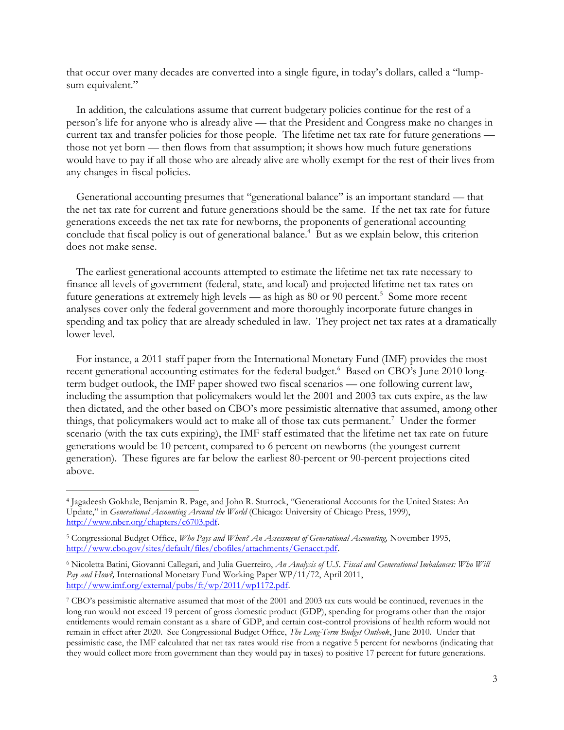that occur over many decades are converted into a single figure, in today's dollars, called a "lumpsum equivalent."

In addition, the calculations assume that current budgetary policies continue for the rest of a person's life for anyone who is already alive — that the President and Congress make no changes in current tax and transfer policies for those people. The lifetime net tax rate for future generations those not yet born — then flows from that assumption; it shows how much future generations would have to pay if all those who are already alive are wholly exempt for the rest of their lives from any changes in fiscal policies.

Generational accounting presumes that "generational balance" is an important standard — that the net tax rate for current and future generations should be the same. If the net tax rate for future generations exceeds the net tax rate for newborns, the proponents of generational accounting conclude that fiscal policy is out of generational balance.<sup>4</sup> But as we explain below, this criterion does not make sense.

The earliest generational accounts attempted to estimate the lifetime net tax rate necessary to finance all levels of government (federal, state, and local) and projected lifetime net tax rates on future generations at extremely high levels — as high as  $80$  or  $90$  percent.<sup>5</sup> Some more recent analyses cover only the federal government and more thoroughly incorporate future changes in spending and tax policy that are already scheduled in law. They project net tax rates at a dramatically lower level.

For instance, a 2011 staff paper from the International Monetary Fund (IMF) provides the most recent generational accounting estimates for the federal budget.<sup>6</sup> Based on CBO's June 2010 longterm budget outlook, the IMF paper showed two fiscal scenarios — one following current law, including the assumption that policymakers would let the 2001 and 2003 tax cuts expire, as the law then dictated, and the other based on CBO's more pessimistic alternative that assumed, among other things, that policymakers would act to make all of those tax cuts permanent.<sup>7</sup> Under the former scenario (with the tax cuts expiring), the IMF staff estimated that the lifetime net tax rate on future generations would be 10 percent, compared to 6 percent on newborns (the youngest current generation). These figures are far below the earliest 80-percent or 90-percent projections cited above.

<sup>4</sup> Jagadeesh Gokhale, Benjamin R. Page, and John R. Sturrock, "Generational Accounts for the United States: An Update," in *Generational Accounting Around the World* (Chicago: University of Chicago Press, 1999), [http://www.nber.org/chapters/c6703.pdf.](http://www.nber.org/chapters/c6703.pdf)

<sup>5</sup> Congressional Budget Office, *Who Pays and When? An Assessment of Generational Accounting,* November 1995, [http://www.cbo.gov/sites/default/files/cbofiles/attachments/Genacct.pdf.](http://www.cbo.gov/sites/default/files/cbofiles/attachments/Genacct.pdf) 

<sup>6</sup> Nicoletta Batini, Giovanni Callegari, and Julia Guerreiro, *An Analysis of U.S. Fiscal and Generational Imbalances: Who Will Pay and How?,* International Monetary Fund Working Paper WP/11/72, April 2011, [http://www.imf.org/external/pubs/ft/wp/2011/wp1172.pdf.](http://www.imf.org/external/pubs/ft/wp/2011/wp1172.pdf)

<sup>7</sup> CBO's pessimistic alternative assumed that most of the 2001 and 2003 tax cuts would be continued, revenues in the long run would not exceed 19 percent of gross domestic product (GDP), spending for programs other than the major entitlements would remain constant as a share of GDP, and certain cost-control provisions of health reform would not remain in effect after 2020. See Congressional Budget Office, *The Long-Term Budget Outlook*, June 2010. Under that pessimistic case, the IMF calculated that net tax rates would rise from a negative 5 percent for newborns (indicating that they would collect more from government than they would pay in taxes) to positive 17 percent for future generations.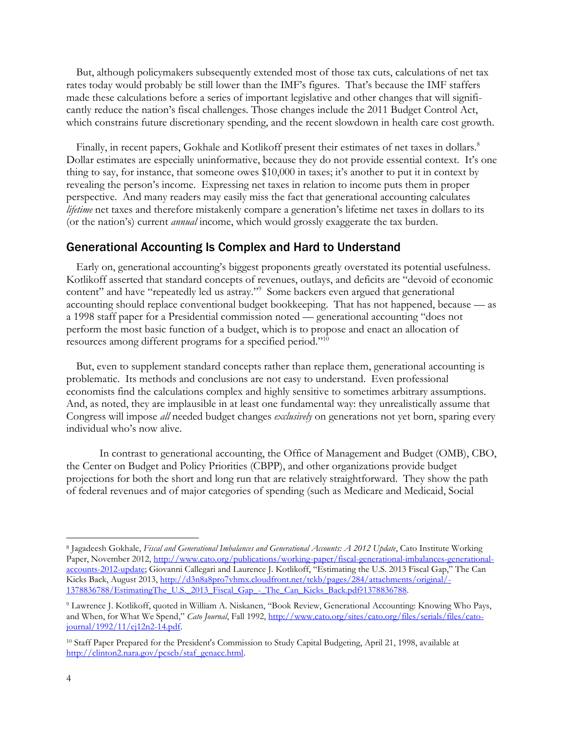But, although policymakers subsequently extended most of those tax cuts, calculations of net tax rates today would probably be still lower than the IMF's figures. That's because the IMF staffers made these calculations before a series of important legislative and other changes that will significantly reduce the nation's fiscal challenges. Those changes include the 2011 Budget Control Act, which constrains future discretionary spending, and the recent slowdown in health care cost growth.

Finally, in recent papers, Gokhale and Kotlikoff present their estimates of net taxes in dollars.<sup>8</sup> Dollar estimates are especially uninformative, because they do not provide essential context. It's one thing to say, for instance, that someone owes \$10,000 in taxes; it's another to put it in context by revealing the person's income. Expressing net taxes in relation to income puts them in proper perspective. And many readers may easily miss the fact that generational accounting calculates *lifetime* net taxes and therefore mistakenly compare a generation's lifetime net taxes in dollars to its (or the nation's) current *annual* income, which would grossly exaggerate the tax burden.

#### Generational Accounting Is Complex and Hard to Understand

Early on, generational accounting's biggest proponents greatly overstated its potential usefulness. Kotlikoff asserted that standard concepts of revenues, outlays, and deficits are "devoid of economic content" and have "repeatedly led us astray."<sup>9</sup> Some backers even argued that generational accounting should replace conventional budget bookkeeping. That has not happened, because — as a 1998 staff paper for a Presidential commission noted — generational accounting "does not perform the most basic function of a budget, which is to propose and enact an allocation of resources among different programs for a specified period."<sup>10</sup>

But, even to supplement standard concepts rather than replace them, generational accounting is problematic. Its methods and conclusions are not easy to understand. Even professional economists find the calculations complex and highly sensitive to sometimes arbitrary assumptions. And, as noted, they are implausible in at least one fundamental way: they unrealistically assume that Congress will impose *all* needed budget changes *exclusively* on generations not yet born, sparing every individual who's now alive.

In contrast to generational accounting, the Office of Management and Budget (OMB), CBO, the Center on Budget and Policy Priorities (CBPP), and other organizations provide budget projections for both the short and long run that are relatively straightforward. They show the path of federal revenues and of major categories of spending (such as Medicare and Medicaid, Social

<sup>8</sup> Jagadeesh Gokhale, *Fiscal and Generational Imbalances and Generational Accounts: A 2012 Update*, Cato Institute Working Paper, November 2012, [http://www.cato.org/publications/working-paper/fiscal-generational-imbalances-generational](http://www.cato.org/publications/working-paper/fiscal-generational-imbalances-generational-accounts-2012-update)[accounts-2012-update](http://www.cato.org/publications/working-paper/fiscal-generational-imbalances-generational-accounts-2012-update); Giovanni Callegari and Laurence J. Kotlikoff, "Estimating the U.S. 2013 Fiscal Gap," The Can Kicks Back, August 2013, [http://d3n8a8pro7vhmx.cloudfront.net/tckb/pages/284/attachments/original/-](http://d3n8a8pro7vhmx.cloudfront.net/tckb/pages/284/attachments/original/1378836788/EstimatingThe_U.S._2013_Fiscal_Gap_-_The_Can_Kicks_Back.pdf?1378836788) [1378836788/EstimatingThe\\_U.S.\\_2013\\_Fiscal\\_Gap\\_-\\_The\\_Can\\_Kicks\\_Back.pdf?1378836788.](http://d3n8a8pro7vhmx.cloudfront.net/tckb/pages/284/attachments/original/1378836788/EstimatingThe_U.S._2013_Fiscal_Gap_-_The_Can_Kicks_Back.pdf?1378836788)

<sup>9</sup> Lawrence J. Kotlikoff, quoted in William A. Niskanen, "Book Review, Generational Accounting: Knowing Who Pays, and When, for What We Spend," *Cato Journal*, Fall 1992, [http://www.cato.org/sites/cato.org/files/serials/files/cato](http://www.cato.org/sites/cato.org/files/serials/files/cato-journal/1992/11/cj12n2-14.pdf)[journal/1992/11/cj12n2-14.pdf.](http://www.cato.org/sites/cato.org/files/serials/files/cato-journal/1992/11/cj12n2-14.pdf)

<sup>10</sup> Staff Paper Prepared for the President's Commission to Study Capital Budgeting, April 21, 1998, available at [http://clinton2.nara.gov/pcscb/staf\\_genacc.html.](http://clinton2.nara.gov/pcscb/staf_genacc.html)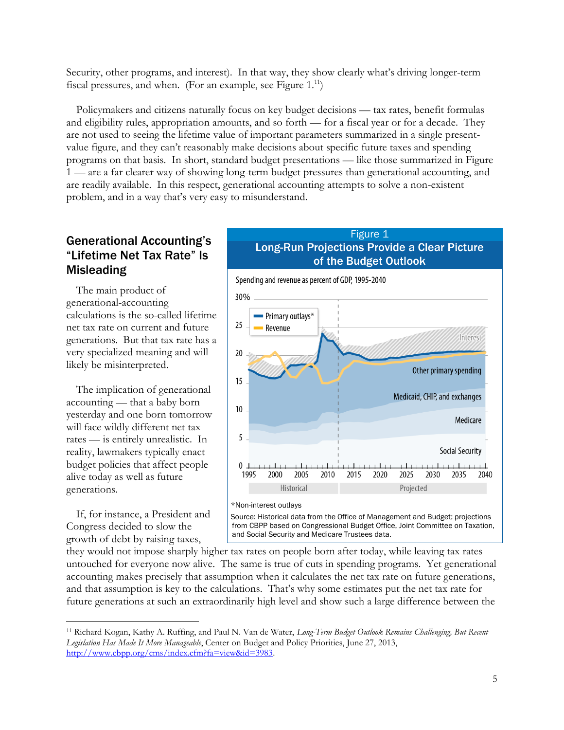Security, other programs, and interest). In that way, they show clearly what's driving longer-term fiscal pressures, and when. (For an example, see Figure  $1.^{11}$ )

Policymakers and citizens naturally focus on key budget decisions — tax rates, benefit formulas and eligibility rules, appropriation amounts, and so forth — for a fiscal year or for a decade. They are not used to seeing the lifetime value of important parameters summarized in a single presentvalue figure, and they can't reasonably make decisions about specific future taxes and spending programs on that basis. In short, standard budget presentations — like those summarized in Figure 1 — are a far clearer way of showing long-term budget pressures than generational accounting, and are readily available. In this respect, generational accounting attempts to solve a non-existent problem, and in a way that's very easy to misunderstand.

## Generational Accounting's "Lifetime Net Tax Rate" Is **Misleading**

The main product of generational-accounting calculations is the so-called lifetime net tax rate on current and future generations. But that tax rate has a very specialized meaning and will likely be misinterpreted.

The implication of generational accounting — that a baby born yesterday and one born tomorrow will face wildly different net tax rates — is entirely unrealistic. In reality, lawmakers typically enact budget policies that affect people alive today as well as future generations.

If, for instance, a President and Congress decided to slow the growth of debt by raising taxes,

 $\overline{a}$ 

## Figure 1 Long-Run Projections Provide a Clear Picture of the Budget Outlook



Source: Historical data from the Office of Management and Budget; projections from CBPP based on Congressional Budget Office, Joint Committee on Taxation, and Social Security and Medicare Trustees data.

they would not impose sharply higher tax rates on people born after today, while leaving tax rates untouched for everyone now alive. The same is true of cuts in spending programs. Yet generational accounting makes precisely that assumption when it calculates the net tax rate on future generations, and that assumption is key to the calculations. That's why some estimates put the net tax rate for future generations at such an extraordinarily high level and show such a large difference between the

<sup>11</sup> Richard Kogan, Kathy A. Ruffing, and Paul N. Van de Water, *Long-Term Budget Outlook Remains Challenging, But Recent Legislation Has Made It More Manageable*, Center on Budget and Policy Priorities, June 27, 2013, [http://www.cbpp.org/cms/index.cfm?fa=view&id=3983.](http://www.cbpp.org/cms/index.cfm?fa=view&id=3983)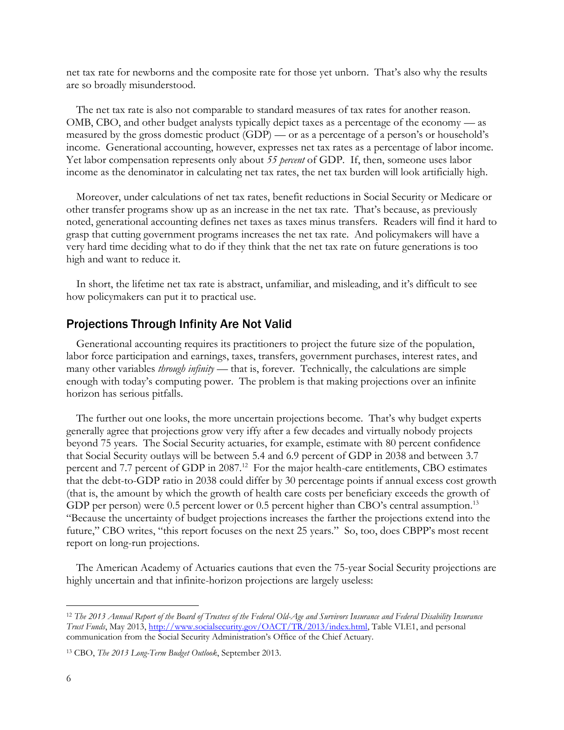net tax rate for newborns and the composite rate for those yet unborn. That's also why the results are so broadly misunderstood.

The net tax rate is also not comparable to standard measures of tax rates for another reason. OMB, CBO, and other budget analysts typically depict taxes as a percentage of the economy — as measured by the gross domestic product (GDP) — or as a percentage of a person's or household's income. Generational accounting, however, expresses net tax rates as a percentage of labor income. Yet labor compensation represents only about *55 percent* of GDP. If, then, someone uses labor income as the denominator in calculating net tax rates, the net tax burden will look artificially high.

Moreover, under calculations of net tax rates, benefit reductions in Social Security or Medicare or other transfer programs show up as an increase in the net tax rate. That's because, as previously noted, generational accounting defines net taxes as taxes minus transfers. Readers will find it hard to grasp that cutting government programs increases the net tax rate. And policymakers will have a very hard time deciding what to do if they think that the net tax rate on future generations is too high and want to reduce it.

In short, the lifetime net tax rate is abstract, unfamiliar, and misleading, and it's difficult to see how policymakers can put it to practical use.

#### Projections Through Infinity Are Not Valid

Generational accounting requires its practitioners to project the future size of the population, labor force participation and earnings, taxes, transfers, government purchases, interest rates, and many other variables *through infinity* — that is, forever. Technically, the calculations are simple enough with today's computing power. The problem is that making projections over an infinite horizon has serious pitfalls.

The further out one looks, the more uncertain projections become. That's why budget experts generally agree that projections grow very iffy after a few decades and virtually nobody projects beyond 75 years. The Social Security actuaries, for example, estimate with 80 percent confidence that Social Security outlays will be between 5.4 and 6.9 percent of GDP in 2038 and between 3.7 percent and 7.7 percent of GDP in 2087.<sup>12</sup> For the major health-care entitlements, CBO estimates that the debt-to-GDP ratio in 2038 could differ by 30 percentage points if annual excess cost growth (that is, the amount by which the growth of health care costs per beneficiary exceeds the growth of GDP per person) were 0.5 percent lower or 0.5 percent higher than CBO's central assumption.<sup>13</sup> "Because the uncertainty of budget projections increases the farther the projections extend into the future," CBO writes, "this report focuses on the next 25 years." So, too, does CBPP's most recent report on long-run projections.

The American Academy of Actuaries cautions that even the 75-year Social Security projections are highly uncertain and that infinite-horizon projections are largely useless:

<sup>12</sup> *The 2013 Annual Report of the Board of Trustees of the Federal Old-Age and Survivors Insurance and Federal Disability Insurance Trust Funds*, May 2013, [http://www.socialsecurity.gov/OACT/TR/2013/index.html,](http://www.socialsecurity.gov/OACT/TR/2013/index.html) Table VI.E1, and personal communication from the Social Security Administration's Office of the Chief Actuary.

<sup>13</sup> CBO, *The 2013 Long-Term Budget Outlook*, September 2013.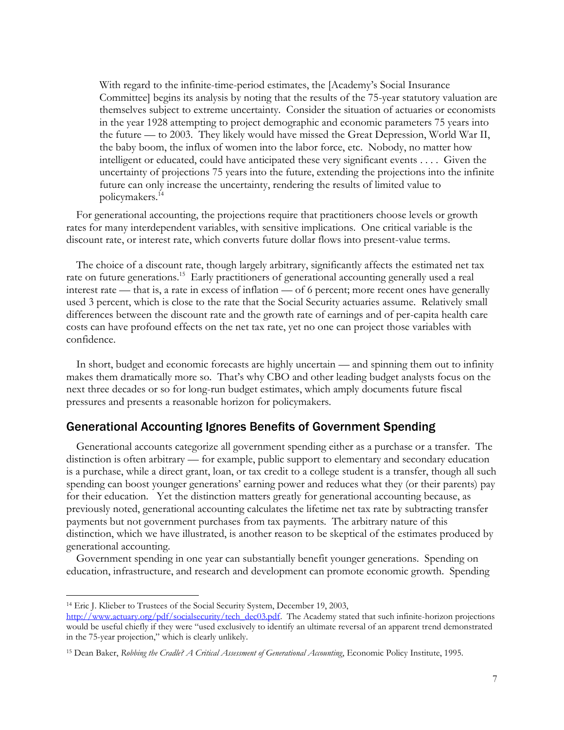With regard to the infinite-time-period estimates, the [Academy's Social Insurance Committee] begins its analysis by noting that the results of the 75-year statutory valuation are themselves subject to extreme uncertainty. Consider the situation of actuaries or economists in the year 1928 attempting to project demographic and economic parameters 75 years into the future — to 2003. They likely would have missed the Great Depression, World War II, the baby boom, the influx of women into the labor force, etc. Nobody, no matter how intelligent or educated, could have anticipated these very significant events . . . . Given the uncertainty of projections 75 years into the future, extending the projections into the infinite future can only increase the uncertainty, rendering the results of limited value to policymakers. 14

For generational accounting, the projections require that practitioners choose levels or growth rates for many interdependent variables, with sensitive implications. One critical variable is the discount rate, or interest rate, which converts future dollar flows into present-value terms.

The choice of a discount rate, though largely arbitrary, significantly affects the estimated net tax rate on future generations.<sup>15</sup> Early practitioners of generational accounting generally used a real interest rate — that is, a rate in excess of inflation — of 6 percent; more recent ones have generally used 3 percent, which is close to the rate that the Social Security actuaries assume. Relatively small differences between the discount rate and the growth rate of earnings and of per-capita health care costs can have profound effects on the net tax rate, yet no one can project those variables with confidence.

In short, budget and economic forecasts are highly uncertain — and spinning them out to infinity makes them dramatically more so. That's why CBO and other leading budget analysts focus on the next three decades or so for long-run budget estimates, which amply documents future fiscal pressures and presents a reasonable horizon for policymakers.

## Generational Accounting Ignores Benefits of Government Spending

Generational accounts categorize all government spending either as a purchase or a transfer. The distinction is often arbitrary — for example, public support to elementary and secondary education is a purchase, while a direct grant, loan, or tax credit to a college student is a transfer, though all such spending can boost younger generations' earning power and reduces what they (or their parents) pay for their education. Yet the distinction matters greatly for generational accounting because, as previously noted, generational accounting calculates the lifetime net tax rate by subtracting transfer payments but not government purchases from tax payments. The arbitrary nature of this distinction, which we have illustrated, is another reason to be skeptical of the estimates produced by generational accounting.

Government spending in one year can substantially benefit younger generations. Spending on education, infrastructure, and research and development can promote economic growth. Spending

<sup>14</sup> Eric J. Klieber to Trustees of the Social Security System, December 19, 2003,

[http://www.actuary.org/pdf/socialsecurity/tech\\_dec03.pdf.](http://www.actuary.org/pdf/socialsecurity/tech_dec03.pdf) The Academy stated that such infinite-horizon projections would be useful chiefly if they were "used exclusively to identify an ultimate reversal of an apparent trend demonstrated in the 75-year projection," which is clearly unlikely.

<sup>15</sup> Dean Baker, *Robbing the Cradle? A Critical Assessment of Generational Accounting*, Economic Policy Institute, 1995.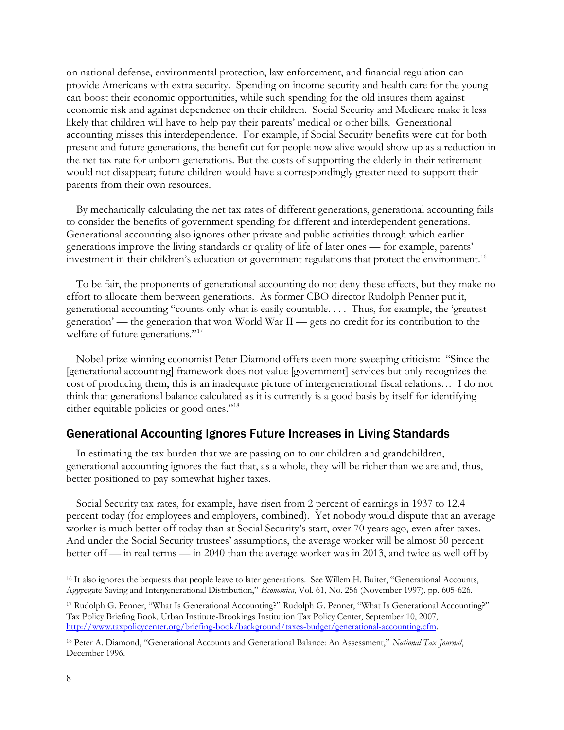on national defense, environmental protection, law enforcement, and financial regulation can provide Americans with extra security. Spending on income security and health care for the young can boost their economic opportunities, while such spending for the old insures them against economic risk and against dependence on their children. Social Security and Medicare make it less likely that children will have to help pay their parents' medical or other bills. Generational accounting misses this interdependence. For example, if Social Security benefits were cut for both present and future generations, the benefit cut for people now alive would show up as a reduction in the net tax rate for unborn generations. But the costs of supporting the elderly in their retirement would not disappear; future children would have a correspondingly greater need to support their parents from their own resources.

By mechanically calculating the net tax rates of different generations, generational accounting fails to consider the benefits of government spending for different and interdependent generations. Generational accounting also ignores other private and public activities through which earlier generations improve the living standards or quality of life of later ones — for example, parents' investment in their children's education or government regulations that protect the environment.<sup>16</sup>

To be fair, the proponents of generational accounting do not deny these effects, but they make no effort to allocate them between generations. As former CBO director Rudolph Penner put it, generational accounting "counts only what is easily countable. . . . Thus, for example, the 'greatest generation' — the generation that won World War II — gets no credit for its contribution to the welfare of future generations."<sup>17</sup>

Nobel-prize winning economist Peter Diamond offers even more sweeping criticism: "Since the [generational accounting] framework does not value [government] services but only recognizes the cost of producing them, this is an inadequate picture of intergenerational fiscal relations… I do not think that generational balance calculated as it is currently is a good basis by itself for identifying either equitable policies or good ones."<sup>18</sup>

## Generational Accounting Ignores Future Increases in Living Standards

In estimating the tax burden that we are passing on to our children and grandchildren, generational accounting ignores the fact that, as a whole, they will be richer than we are and, thus, better positioned to pay somewhat higher taxes.

Social Security tax rates, for example, have risen from 2 percent of earnings in 1937 to 12.4 percent today (for employees and employers, combined). Yet nobody would dispute that an average worker is much better off today than at Social Security's start, over 70 years ago, even after taxes. And under the Social Security trustees' assumptions, the average worker will be almost 50 percent better off — in real terms — in 2040 than the average worker was in 2013, and twice as well off by

<sup>16</sup> It also ignores the bequests that people leave to later generations. See Willem H. Buiter, "Generational Accounts, Aggregate Saving and Intergenerational Distribution," *Economica*, Vol. 61, No. 256 (November 1997), pp. 605-626.

<sup>17</sup> Rudolph G. Penner, "What Is Generational Accounting?" Rudolph G. Penner, "What Is Generational Accounting?" Tax Policy Briefing Book, Urban Institute-Brookings Institution Tax Policy Center, September 10, 2007, [http://www.taxpolicycenter.org/briefing-book/background/taxes-budget/generational-accounting.cfm.](http://www.taxpolicycenter.org/briefing-book/background/taxes-budget/generational-accounting.cfm)

<sup>18</sup> Peter A. Diamond, "Generational Accounts and Generational Balance: An Assessment," *National Tax Journal*, December 1996.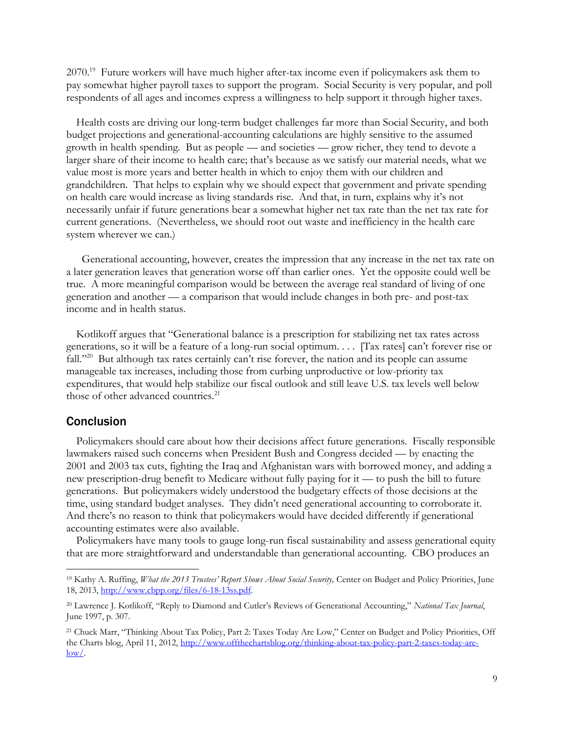2070.<sup>19</sup> Future workers will have much higher after-tax income even if policymakers ask them to pay somewhat higher payroll taxes to support the program. Social Security is very popular, and poll respondents of all ages and incomes express a willingness to help support it through higher taxes.

Health costs are driving our long-term budget challenges far more than Social Security, and both budget projections and generational-accounting calculations are highly sensitive to the assumed growth in health spending. But as people — and societies — grow richer, they tend to devote a larger share of their income to health care; that's because as we satisfy our material needs, what we value most is more years and better health in which to enjoy them with our children and grandchildren. That helps to explain why we should expect that government and private spending on health care would increase as living standards rise. And that, in turn, explains why it's not necessarily unfair if future generations bear a somewhat higher net tax rate than the net tax rate for current generations. (Nevertheless, we should root out waste and inefficiency in the health care system wherever we can.)

 Generational accounting, however, creates the impression that any increase in the net tax rate on a later generation leaves that generation worse off than earlier ones. Yet the opposite could well be true. A more meaningful comparison would be between the average real standard of living of one generation and another — a comparison that would include changes in both pre- and post-tax income and in health status.

Kotlikoff argues that "Generational balance is a prescription for stabilizing net tax rates across generations, so it will be a feature of a long-run social optimum. . . . [Tax rates] can't forever rise or fall."<sup>20</sup> But although tax rates certainly can't rise forever, the nation and its people can assume manageable tax increases, including those from curbing unproductive or low-priority tax expenditures, that would help stabilize our fiscal outlook and still leave U.S. tax levels well below those of other advanced countries.<sup>21</sup>

#### **Conclusion**

 $\overline{a}$ 

Policymakers should care about how their decisions affect future generations. Fiscally responsible lawmakers raised such concerns when President Bush and Congress decided — by enacting the 2001 and 2003 tax cuts, fighting the Iraq and Afghanistan wars with borrowed money, and adding a new prescription-drug benefit to Medicare without fully paying for it — to push the bill to future generations. But policymakers widely understood the budgetary effects of those decisions at the time, using standard budget analyses. They didn't need generational accounting to corroborate it. And there's no reason to think that policymakers would have decided differently if generational accounting estimates were also available.

Policymakers have many tools to gauge long-run fiscal sustainability and assess generational equity that are more straightforward and understandable than generational accounting. CBO produces an

<sup>&</sup>lt;sup>19</sup> Kathy A. Ruffing, *What the 2013 Trustees' Report Shows About Social Security*, Center on Budget and Policy Priorities, June 18, 2013, [http://www.cbpp.org/files/6-18-13ss.pdf.](http://www.cbpp.org/files/6-18-13ss.pdf)

<sup>20</sup> Lawrence J. Kotlikoff, "Reply to Diamond and Cutler's Reviews of Generational Accounting," *National Tax Journal*, June 1997, p. 307.

<sup>21</sup> Chuck Marr, "Thinking About Tax Policy, Part 2: Taxes Today Are Low," Center on Budget and Policy Priorities, Off the Charts blog, April 11, 2012, [http://www.offthechartsblog.org/thinking-about-tax-policy-part-2-taxes-today-are-](http://www.offthechartsblog.org/thinking-about-tax-policy-part-2-taxes-today-are-low/) $\frac{\text{low}}{\text{.}}$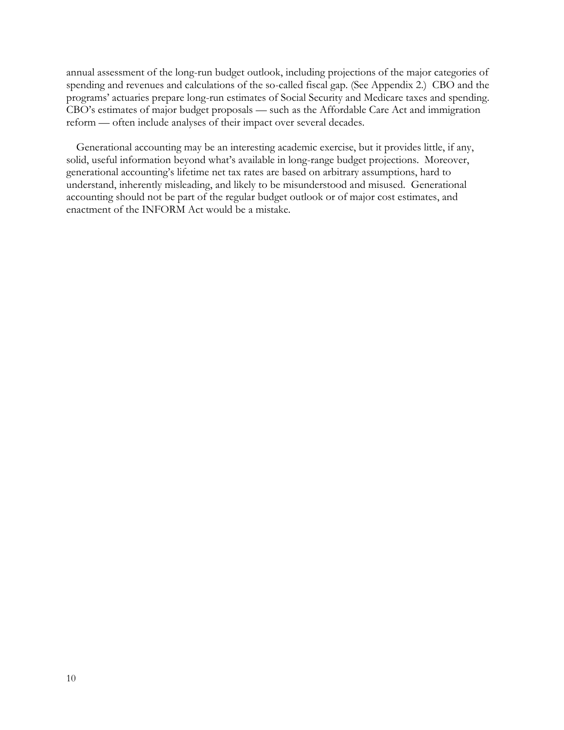annual assessment of the long-run budget outlook, including projections of the major categories of spending and revenues and calculations of the so-called fiscal gap. (See Appendix 2.) CBO and the programs' actuaries prepare long-run estimates of Social Security and Medicare taxes and spending. CBO's estimates of major budget proposals — such as the Affordable Care Act and immigration reform — often include analyses of their impact over several decades.

Generational accounting may be an interesting academic exercise, but it provides little, if any, solid, useful information beyond what's available in long-range budget projections. Moreover, generational accounting's lifetime net tax rates are based on arbitrary assumptions, hard to understand, inherently misleading, and likely to be misunderstood and misused. Generational accounting should not be part of the regular budget outlook or of major cost estimates, and enactment of the INFORM Act would be a mistake.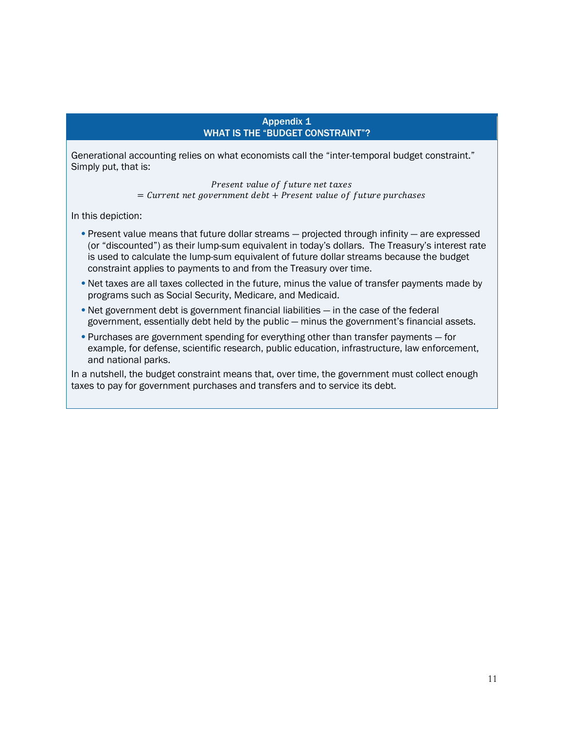#### Appendix 1 WHAT IS THE "BUDGET CONSTRAINT"?

Generational accounting relies on what economists call the "inter-temporal budget constraint." Simply put, that is:

> Present value of future net taxes  $=$  Current net government debt + Present value of future purchases

In this depiction:

- Present value means that future dollar streams projected through infinity are expressed (or "discounted") as their lump-sum equivalent in today's dollars. The Treasury's interest rate is used to calculate the lump-sum equivalent of future dollar streams because the budget constraint applies to payments to and from the Treasury over time.
- Net taxes are all taxes collected in the future, minus the value of transfer payments made by programs such as Social Security, Medicare, and Medicaid.
- Net government debt is government financial liabilities in the case of the federal government, essentially debt held by the public — minus the government's financial assets.
- Purchases are government spending for everything other than transfer payments for example, for defense, scientific research, public education, infrastructure, law enforcement, and national parks.

In a nutshell, the budget constraint means that, over time, the government must collect enough taxes to pay for government purchases and transfers and to service its debt.